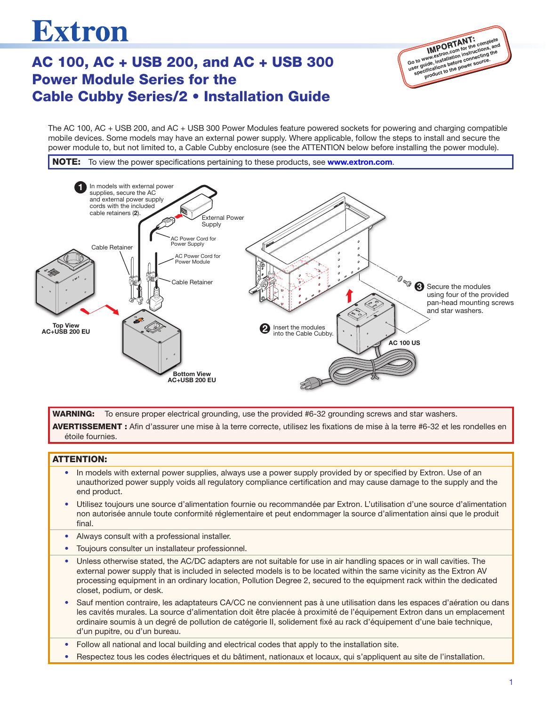# **Extron**

# AC 100, AC + USB 200, and AC + USB 300 Power Module Series for the Cable Cubby Series/2 • Installation Guide



power module to, but not limited to, a Cable Cubby enclosure (see the ATTENTION below before installing the power module). The AC 100, AC + USB 200, and AC + USB 300 Power Modules feature powered sockets for powering and charging compatible mobile devices. Some models may have an external power supply. Where applicable, follow the steps to install and secure the



WARNING: To ensure proper electrical grounding, use the provided #6-32 grounding screws and star washers. AVERTISSEMENT : Afin d'assurer une mise à la terre correcte, utilisez les fixations de mise à la terre #6-32 et les rondelles en étoile fournies.

#### ATTENTION:

- In models with external power supplies, always use a power supply provided by or specified by Extron. Use of an unauthorized power supply voids all regulatory compliance certification and may cause damage to the supply and the end product.
- Utilisez toujours une source d'alimentation fournie ou recommandée par Extron. L'utilisation d'une source d'alimentation non autorisée annule toute conformité réglementaire et peut endommager la source d'alimentation ainsi que le produit final. 3
- Always consult with a professional installer.
- Toujours consulter un installateur professionnel.
- Unless otherwise stated, the AC/DC adapters are not suitable for use in air handling spaces or in wall cavities. The external power supply that is included in selected models is to be located within the same vicinity as the Extron AV processing equipment in an ordinary location, Pollution Degree 2, secured to the equipment rack within the dedicated closet, podium, or desk.
- Sauf mention contraire, les adaptateurs CA/CC ne conviennent pas à une utilisation dans les espaces d'aération ou dans 2 les cavités murales. La source d'alimentation doit être placée à proximité de l'équipement Extron dans un emplacement ordinaire soumis à un degré de pollution de catégorie II, solidement fixé au rack d'équipement d'une baie technique, d'un pupitre, ou d'un bureau. AC 100 EU
- Follow all national and local building and electrical codes that apply to the installation site.
- Respectez tous les codes électriques et du bâtiment, nationaux et locaux, qui s'appliquent au site de l'installation.